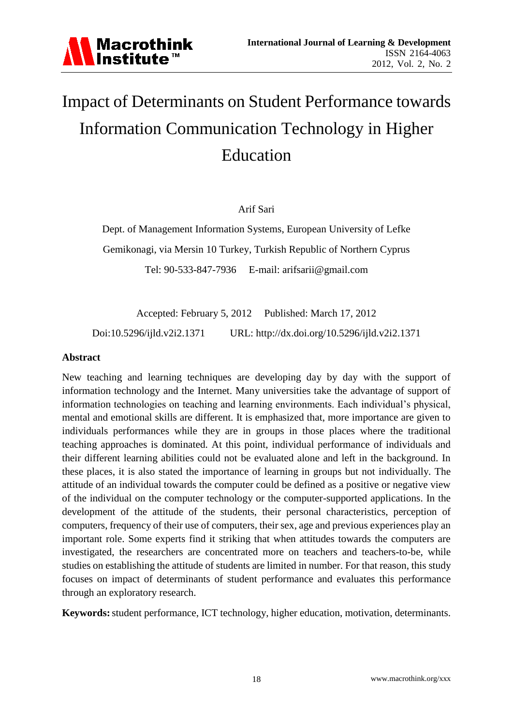

# Impact of Determinants on Student Performance towards Information Communication Technology in Higher Education

Arif Sari

Dept. of Management Information Systems, European University of Lefke Gemikonagi, via Mersin 10 Turkey, Turkish Republic of Northern Cyprus Tel: 90-533-847-7936 E-mail: arifsarii@gmail.com

Accepted: February 5, 2012 Published: March 17, 2012 Doi:10.5296/ijld.v2i2.1371 URL: http://dx.doi.org/10.5296/ijld.v2i2.1371

#### **Abstract**

New teaching and learning techniques are developing day by day with the support of information technology and the Internet. Many universities take the advantage of support of information technologies on teaching and learning environments. Each individual's physical, mental and emotional skills are different. It is emphasized that, more importance are given to individuals performances while they are in groups in those places where the traditional teaching approaches is dominated. At this point, individual performance of individuals and their different learning abilities could not be evaluated alone and left in the background. In these places, it is also stated the importance of learning in groups but not individually. The attitude of an individual towards the computer could be defined as a positive or negative view of the individual on the computer technology or the computer-supported applications. In the development of the attitude of the students, their personal characteristics, perception of computers, frequency of their use of computers, their sex, age and previous experiences play an important role. Some experts find it striking that when attitudes towards the computers are investigated, the researchers are concentrated more on teachers and teachers-to-be, while studies on establishing the attitude of students are limited in number. For that reason, this study focuses on impact of determinants of student performance and evaluates this performance through an exploratory research.

**Keywords:**student performance, ICT technology, higher education, motivation, determinants.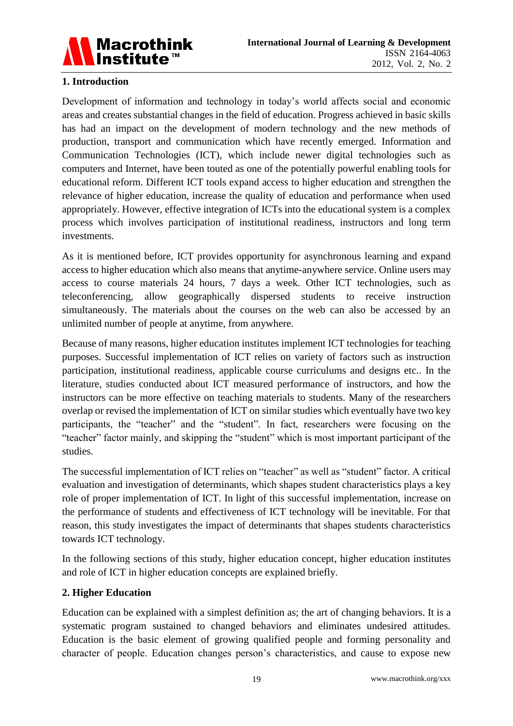

## **1. Introduction**

Development of information and technology in today's world affects social and economic areas and creates substantial changes in the field of education. Progress achieved in basic skills has had an impact on the development of modern technology and the new methods of production, transport and communication which have recently emerged. Information and Communication Technologies (ICT), which include newer digital technologies such as computers and Internet, have been touted as one of the potentially powerful enabling tools for educational reform. Different ICT tools expand access to higher education and strengthen the relevance of higher education, increase the quality of education and performance when used appropriately. However, effective integration of ICTs into the educational system is a complex process which involves participation of institutional readiness, instructors and long term investments.

As it is mentioned before, ICT provides opportunity for asynchronous learning and expand access to higher education which also means that anytime-anywhere service. Online users may access to course materials 24 hours, 7 days a week. Other ICT technologies, such as teleconferencing, allow geographically dispersed students to receive instruction simultaneously. The materials about the courses on the web can also be accessed by an unlimited number of people at anytime, from anywhere.

Because of many reasons, higher education institutes implement ICT technologies for teaching purposes. Successful implementation of ICT relies on variety of factors such as instruction participation, institutional readiness, applicable course curriculums and designs etc.. In the literature, studies conducted about ICT measured performance of instructors, and how the instructors can be more effective on teaching materials to students. Many of the researchers overlap or revised the implementation of ICT on similar studies which eventually have two key participants, the "teacher" and the "student". In fact, researchers were focusing on the "teacher" factor mainly, and skipping the "student" which is most important participant of the studies.

The successful implementation of ICT relies on "teacher" as well as "student" factor. A critical evaluation and investigation of determinants, which shapes student characteristics plays a key role of proper implementation of ICT. In light of this successful implementation, increase on the performance of students and effectiveness of ICT technology will be inevitable. For that reason, this study investigates the impact of determinants that shapes students characteristics towards ICT technology.

In the following sections of this study, higher education concept, higher education institutes and role of ICT in higher education concepts are explained briefly.

#### **2. Higher Education**

Education can be explained with a simplest definition as; the art of changing behaviors. It is a systematic program sustained to changed behaviors and eliminates undesired attitudes. Education is the basic element of growing qualified people and forming personality and character of people. Education changes person's characteristics, and cause to expose new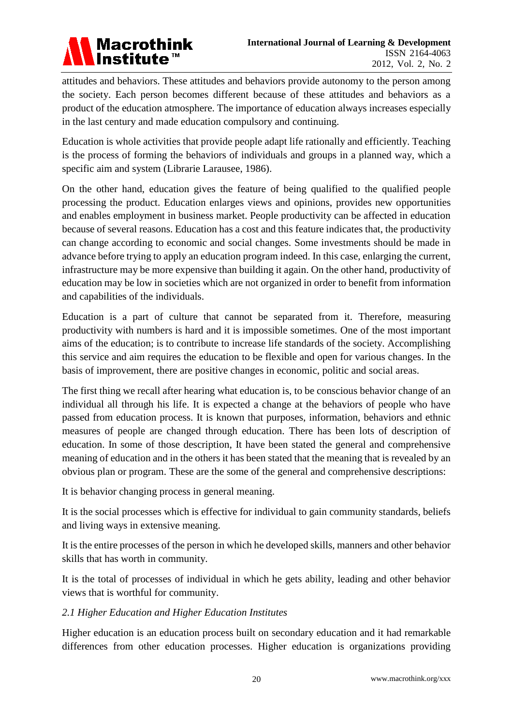

attitudes and behaviors. These attitudes and behaviors provide autonomy to the person among the society. Each person becomes different because of these attitudes and behaviors as a product of the education atmosphere. The importance of education always increases especially in the last century and made education compulsory and continuing.

Education is whole activities that provide people adapt life rationally and efficiently. Teaching is the process of forming the behaviors of individuals and groups in a planned way, which a specific aim and system (Librarie Larausee, 1986).

On the other hand, education gives the feature of being qualified to the qualified people processing the product. Education enlarges views and opinions, provides new opportunities and enables employment in business market. People productivity can be affected in education because of several reasons. Education has a cost and this feature indicates that, the productivity can change according to economic and social changes. Some investments should be made in advance before trying to apply an education program indeed. In this case, enlarging the current, infrastructure may be more expensive than building it again. On the other hand, productivity of education may be low in societies which are not organized in order to benefit from information and capabilities of the individuals.

Education is a part of culture that cannot be separated from it. Therefore, measuring productivity with numbers is hard and it is impossible sometimes. One of the most important aims of the education; is to contribute to increase life standards of the society. Accomplishing this service and aim requires the education to be flexible and open for various changes. In the basis of improvement, there are positive changes in economic, politic and social areas.

The first thing we recall after hearing what education is, to be conscious behavior change of an individual all through his life. It is expected a change at the behaviors of people who have passed from education process. It is known that purposes, information, behaviors and ethnic measures of people are changed through education. There has been lots of description of education. In some of those description, It have been stated the general and comprehensive meaning of education and in the others it has been stated that the meaning that is revealed by an obvious plan or program. These are the some of the general and comprehensive descriptions:

It is behavior changing process in general meaning.

It is the social processes which is effective for individual to gain community standards, beliefs and living ways in extensive meaning.

It is the entire processes of the person in which he developed skills, manners and other behavior skills that has worth in community.

It is the total of processes of individual in which he gets ability, leading and other behavior views that is worthful for community.

#### *2.1 Higher Education and Higher Education Institutes*

Higher education is an education process built on secondary education and it had remarkable differences from other education processes. Higher education is organizations providing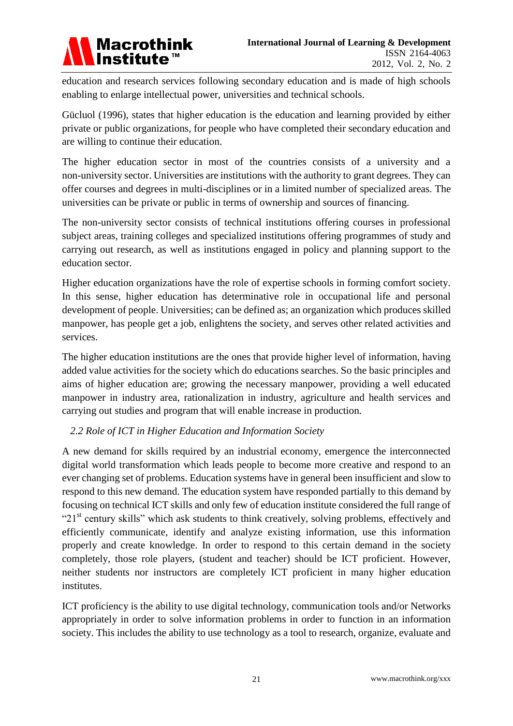

education and research services following secondary education and is made of high schools enabling to enlarge intellectual power, universities and technical schools.

Gücluol (1996), states that higher education is the education and learning provided by either private or public organizations, for people who have completed their secondary education and are willing to continue their education.

The higher education sector in most of the countries consists of a university and a non-university sector. Universities are institutions with the authority to grant degrees. They can offer courses and degrees in multi-disciplines or in a limited number of specialized areas. The universities can be private or public in terms of ownership and sources of financing.

The non-university sector consists of technical institutions offering courses in professional subject areas, training colleges and specialized institutions offering programmes of study and carrying out research, as well as institutions engaged in policy and planning support to the education sector.

Higher education organizations have the role of expertise schools in forming comfort society. In this sense, higher education has determinative role in occupational life and personal development of people. Universities; can be defined as; an organization which produces skilled manpower, has people get a job, enlightens the society, and serves other related activities and services.

The higher education institutions are the ones that provide higher level of information, having added value activities for the society which do educations searches. So the basic principles and aims of higher education are; growing the necessary manpower, providing a well educated manpower in industry area, rationalization in industry, agriculture and health services and carrying out studies and program that will enable increase in production.

#### *2.2 Role of ICT in Higher Education and Information Society*

A new demand for skills required by an industrial economy, emergence the interconnected digital world transformation which leads people to become more creative and respond to an ever changing set of problems. Education systems have in general been insufficient and slow to respond to this new demand. The education system have responded partially to this demand by focusing on technical ICT skills and only few of education institute considered the full range of " $21<sup>st</sup>$  century skills" which ask students to think creatively, solving problems, effectively and efficiently communicate, identify and analyze existing information, use this information properly and create knowledge. In order to respond to this certain demand in the society completely, those role players, (student and teacher) should be ICT proficient. However, neither students nor instructors are completely ICT proficient in many higher education institutes.

ICT proficiency is the ability to use digital technology, communication tools and/or Networks appropriately in order to solve information problems in order to function in an information society. This includes the ability to use technology as a tool to research, organize, evaluate and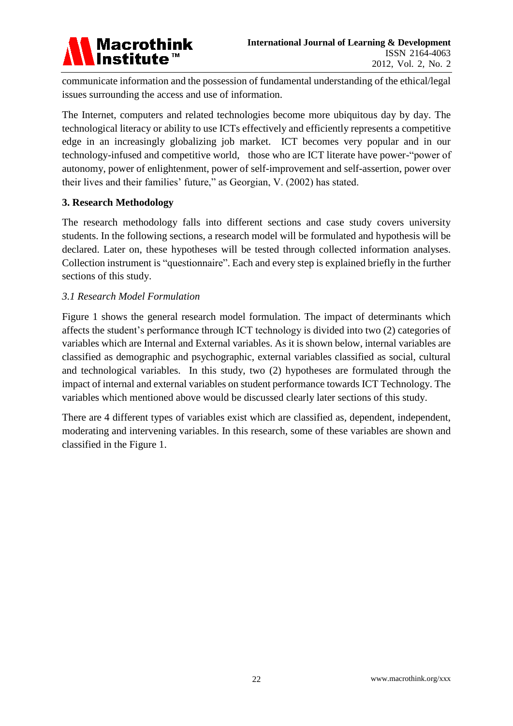

communicate information and the possession of fundamental understanding of the ethical/legal issues surrounding the access and use of information.

The Internet, computers and related technologies become more ubiquitous day by day. The technological literacy or ability to use ICTs effectively and efficiently represents a competitive edge in an increasingly globalizing job market. ICT becomes very popular and in our technology-infused and competitive world, those who are ICT literate have power-"power of autonomy, power of enlightenment, power of self-improvement and self-assertion, power over their lives and their families' future," as Georgian, V. (2002) has stated.

#### **3. Research Methodology**

The research methodology falls into different sections and case study covers university students. In the following sections, a research model will be formulated and hypothesis will be declared. Later on, these hypotheses will be tested through collected information analyses. Collection instrument is "questionnaire". Each and every step is explained briefly in the further sections of this study.

#### *3.1 Research Model Formulation*

Figure 1 shows the general research model formulation. The impact of determinants which affects the student's performance through ICT technology is divided into two (2) categories of variables which are Internal and External variables. As it is shown below, internal variables are classified as demographic and psychographic, external variables classified as social, cultural and technological variables. In this study, two (2) hypotheses are formulated through the impact of internal and external variables on student performance towards ICT Technology. The variables which mentioned above would be discussed clearly later sections of this study.

There are 4 different types of variables exist which are classified as, dependent, independent, moderating and intervening variables. In this research, some of these variables are shown and classified in the Figure 1.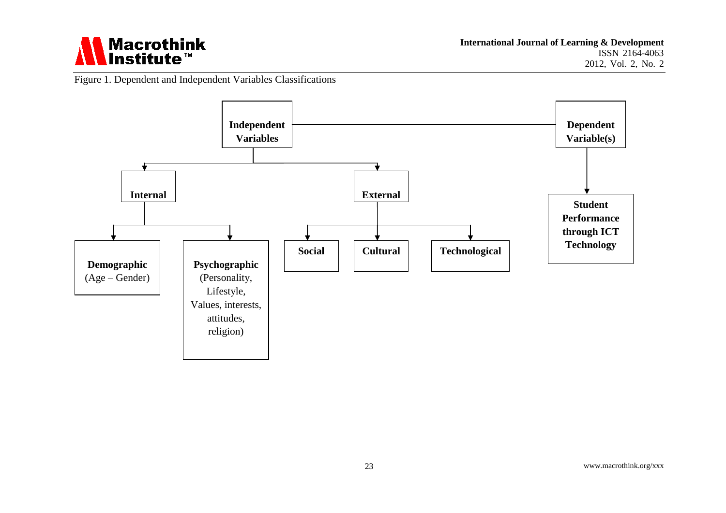

Figure 1. Dependent and Independent Variables Classifications

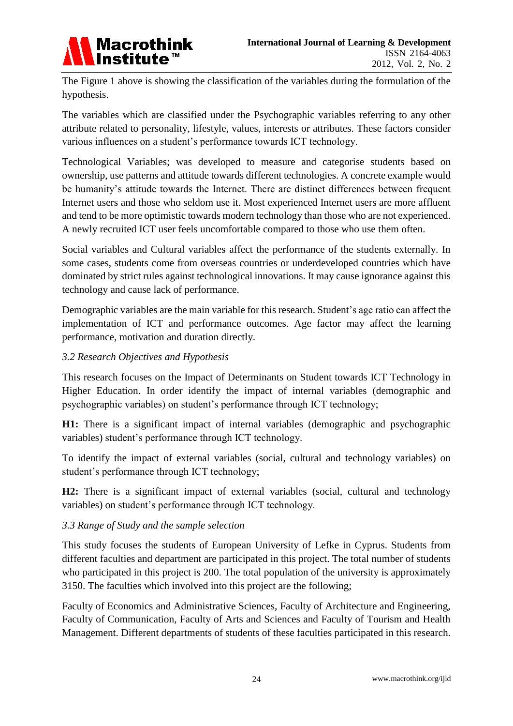

The Figure 1 above is showing the classification of the variables during the formulation of the hypothesis.

The variables which are classified under the Psychographic variables referring to any other attribute related to personality, lifestyle, values, interests or attributes. These factors consider various influences on a student's performance towards ICT technology.

Technological Variables; was developed to measure and categorise students based on ownership, use patterns and attitude towards different technologies. A concrete example would be humanity's attitude towards the Internet. There are distinct differences between frequent Internet users and those who seldom use it. Most experienced Internet users are more affluent and tend to be more optimistic towards modern technology than those who are not experienced. A newly recruited ICT user feels uncomfortable compared to those who use them often.

Social variables and Cultural variables affect the performance of the students externally. In some cases, students come from overseas countries or underdeveloped countries which have dominated by strict rules against technological innovations. It may cause ignorance against this technology and cause lack of performance.

Demographic variables are the main variable for this research. Student's age ratio can affect the implementation of ICT and performance outcomes. Age factor may affect the learning performance, motivation and duration directly.

## *3.2 Research Objectives and Hypothesis*

This research focuses on the Impact of Determinants on Student towards ICT Technology in Higher Education. In order identify the impact of internal variables (demographic and psychographic variables) on student's performance through ICT technology;

**H1:** There is a significant impact of internal variables (demographic and psychographic variables) student's performance through ICT technology.

To identify the impact of external variables (social, cultural and technology variables) on student's performance through ICT technology;

**H2:** There is a significant impact of external variables (social, cultural and technology variables) on student's performance through ICT technology.

#### *3.3 Range of Study and the sample selection*

This study focuses the students of European University of Lefke in Cyprus. Students from different faculties and department are participated in this project. The total number of students who participated in this project is 200. The total population of the university is approximately 3150. The faculties which involved into this project are the following;

Faculty of Economics and Administrative Sciences, Faculty of Architecture and Engineering, Faculty of Communication, Faculty of Arts and Sciences and Faculty of Tourism and Health Management. Different departments of students of these faculties participated in this research.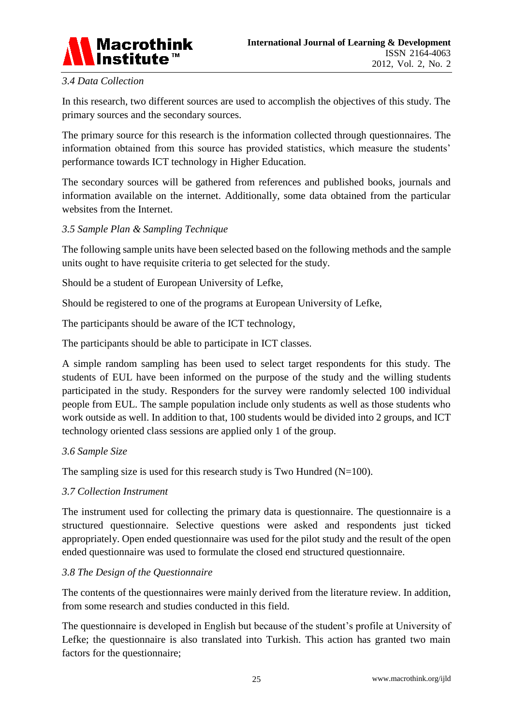

#### *3.4 Data Collection*

In this research, two different sources are used to accomplish the objectives of this study. The primary sources and the secondary sources.

The primary source for this research is the information collected through questionnaires. The information obtained from this source has provided statistics, which measure the students' performance towards ICT technology in Higher Education.

The secondary sources will be gathered from references and published books, journals and information available on the internet. Additionally, some data obtained from the particular websites from the Internet.

#### *3.5 Sample Plan & Sampling Technique*

The following sample units have been selected based on the following methods and the sample units ought to have requisite criteria to get selected for the study.

Should be a student of European University of Lefke,

Should be registered to one of the programs at European University of Lefke,

The participants should be aware of the ICT technology,

The participants should be able to participate in ICT classes.

A simple random sampling has been used to select target respondents for this study. The students of EUL have been informed on the purpose of the study and the willing students participated in the study. Responders for the survey were randomly selected 100 individual people from EUL. The sample population include only students as well as those students who work outside as well. In addition to that, 100 students would be divided into 2 groups, and ICT technology oriented class sessions are applied only 1 of the group.

#### *3.6 Sample Size*

The sampling size is used for this research study is Two Hundred  $(N=100)$ .

#### *3.7 Collection Instrument*

The instrument used for collecting the primary data is questionnaire. The questionnaire is a structured questionnaire. Selective questions were asked and respondents just ticked appropriately. Open ended questionnaire was used for the pilot study and the result of the open ended questionnaire was used to formulate the closed end structured questionnaire.

#### *3.8 The Design of the Questionnaire*

The contents of the questionnaires were mainly derived from the literature review. In addition, from some research and studies conducted in this field.

The questionnaire is developed in English but because of the student's profile at University of Lefke; the questionnaire is also translated into Turkish. This action has granted two main factors for the questionnaire;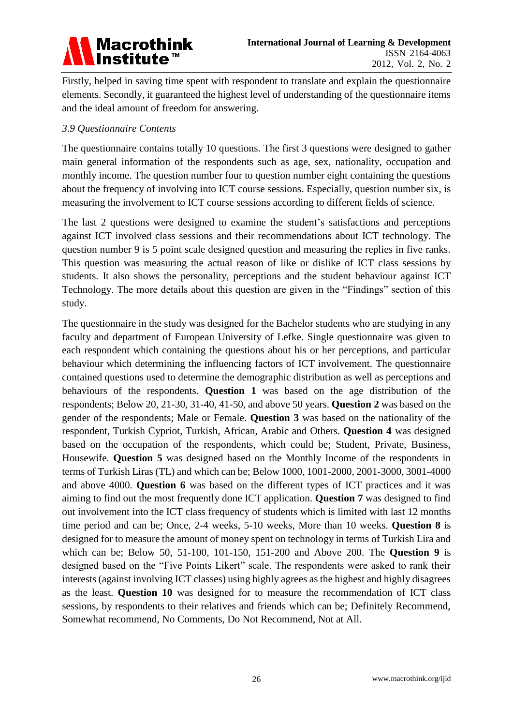# Macrothink<br>Institute™

Firstly, helped in saving time spent with respondent to translate and explain the questionnaire elements. Secondly, it guaranteed the highest level of understanding of the questionnaire items and the ideal amount of freedom for answering.

## *3.9 Questionnaire Contents*

The questionnaire contains totally 10 questions. The first 3 questions were designed to gather main general information of the respondents such as age, sex, nationality, occupation and monthly income. The question number four to question number eight containing the questions about the frequency of involving into ICT course sessions. Especially, question number six, is measuring the involvement to ICT course sessions according to different fields of science.

The last 2 questions were designed to examine the student's satisfactions and perceptions against ICT involved class sessions and their recommendations about ICT technology. The question number 9 is 5 point scale designed question and measuring the replies in five ranks. This question was measuring the actual reason of like or dislike of ICT class sessions by students. It also shows the personality, perceptions and the student behaviour against ICT Technology. The more details about this question are given in the "Findings" section of this study.

The questionnaire in the study was designed for the Bachelor students who are studying in any faculty and department of European University of Lefke. Single questionnaire was given to each respondent which containing the questions about his or her perceptions, and particular behaviour which determining the influencing factors of ICT involvement. The questionnaire contained questions used to determine the demographic distribution as well as perceptions and behaviours of the respondents. **Question 1** was based on the age distribution of the respondents; Below 20, 21-30, 31-40, 41-50, and above 50 years. **Question 2** was based on the gender of the respondents; Male or Female. **Question 3** was based on the nationality of the respondent, Turkish Cypriot, Turkish, African, Arabic and Others. **Question 4** was designed based on the occupation of the respondents, which could be; Student, Private, Business, Housewife. **Question 5** was designed based on the Monthly Income of the respondents in terms of Turkish Liras (TL) and which can be; Below 1000, 1001-2000, 2001-3000, 3001-4000 and above 4000. **Question 6** was based on the different types of ICT practices and it was aiming to find out the most frequently done ICT application. **Question 7** was designed to find out involvement into the ICT class frequency of students which is limited with last 12 months time period and can be; Once, 2-4 weeks, 5-10 weeks, More than 10 weeks. **Question 8** is designed for to measure the amount of money spent on technology in terms of Turkish Lira and which can be; Below 50, 51-100, 101-150, 151-200 and Above 200. The **Question 9** is designed based on the "Five Points Likert" scale. The respondents were asked to rank their interests (against involving ICT classes) using highly agrees as the highest and highly disagrees as the least. **Question 10** was designed for to measure the recommendation of ICT class sessions, by respondents to their relatives and friends which can be; Definitely Recommend, Somewhat recommend, No Comments, Do Not Recommend, Not at All.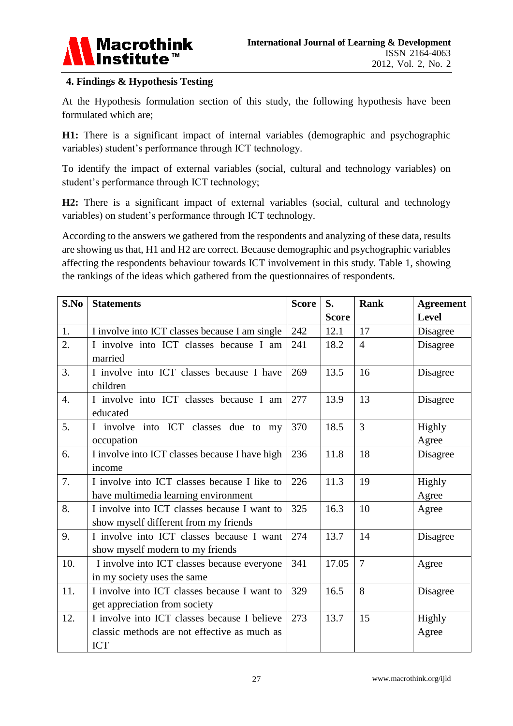

#### **4. Findings & Hypothesis Testing**

At the Hypothesis formulation section of this study, the following hypothesis have been formulated which are;

**H1:** There is a significant impact of internal variables (demographic and psychographic variables) student's performance through ICT technology.

To identify the impact of external variables (social, cultural and technology variables) on student's performance through ICT technology;

**H2:** There is a significant impact of external variables (social, cultural and technology variables) on student's performance through ICT technology.

According to the answers we gathered from the respondents and analyzing of these data, results are showing us that, H1 and H2 are correct. Because demographic and psychographic variables affecting the respondents behaviour towards ICT involvement in this study. Table 1, showing the rankings of the ideas which gathered from the questionnaires of respondents.

| S.No             | <b>Statements</b>                              | <b>Score</b> | S.           | <b>Rank</b>    | <b>Agreement</b> |
|------------------|------------------------------------------------|--------------|--------------|----------------|------------------|
|                  |                                                |              | <b>Score</b> |                | <b>Level</b>     |
| 1.               | I involve into ICT classes because I am single | 242          | 12.1         | 17             | Disagree         |
| 2.               | I involve into ICT classes because I am        | 241          | 18.2         | $\overline{4}$ | Disagree         |
|                  | married                                        |              |              |                |                  |
| 3.               | I involve into ICT classes because I have      | 269          | 13.5         | 16             | Disagree         |
|                  | children                                       |              |              |                |                  |
| $\overline{4}$ . | I involve into ICT classes because I am        | 277          | 13.9         | 13             | Disagree         |
|                  | educated                                       |              |              |                |                  |
| 5.               | I involve into ICT classes due to my           | 370          | 18.5         | $\overline{3}$ | Highly           |
|                  | occupation                                     |              |              |                | Agree            |
| 6.               | I involve into ICT classes because I have high | 236          | 11.8         | 18             | Disagree         |
|                  | income                                         |              |              |                |                  |
| 7.               | I involve into ICT classes because I like to   | 226          | 11.3         | 19             | Highly           |
|                  | have multimedia learning environment           |              |              |                | Agree            |
| 8.               | I involve into ICT classes because I want to   | 325          | 16.3         | 10             | Agree            |
|                  | show myself different from my friends          |              |              |                |                  |
| 9.               | I involve into ICT classes because I want      | 274          | 13.7         | 14             | Disagree         |
|                  | show myself modern to my friends               |              |              |                |                  |
| 10.              | I involve into ICT classes because everyone    | 341          | 17.05        | $\overline{7}$ | Agree            |
|                  | in my society uses the same                    |              |              |                |                  |
| 11.              | I involve into ICT classes because I want to   | 329          | 16.5         | 8              | Disagree         |
|                  | get appreciation from society                  |              |              |                |                  |
| 12.              | I involve into ICT classes because I believe   | 273          | 13.7         | 15             | Highly           |
|                  | classic methods are not effective as much as   |              |              |                | Agree            |
|                  | <b>ICT</b>                                     |              |              |                |                  |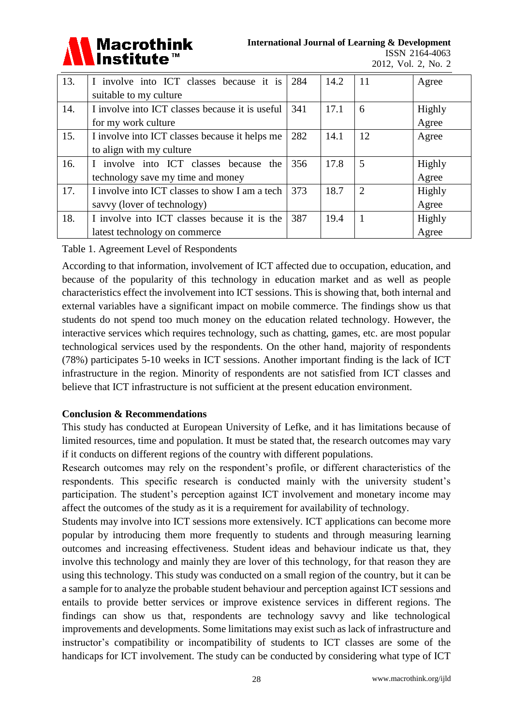

2012, Vol. 2, No. 2

| 13. | I involve into ICT classes because it is        | 284 | 14.2 | 11             | Agree  |
|-----|-------------------------------------------------|-----|------|----------------|--------|
|     | suitable to my culture                          |     |      |                |        |
| 14. | I involve into ICT classes because it is useful | 341 | 17.1 | 6              | Highly |
|     | for my work culture                             |     |      |                | Agree  |
| 15. | I involve into ICT classes because it helps me  | 282 | 14.1 | 12             | Agree  |
|     | to align with my culture                        |     |      |                |        |
| 16. | I involve into ICT classes because<br>the       | 356 | 17.8 | 5              | Highly |
|     | technology save my time and money               |     |      |                | Agree  |
| 17. | I involve into ICT classes to show I am a tech  | 373 | 18.7 | $\overline{2}$ | Highly |
|     | savvy (lover of technology)                     |     |      |                | Agree  |
| 18. | I involve into ICT classes because it is the    | 387 | 19.4 |                | Highly |
|     | latest technology on commerce                   |     |      |                | Agree  |

Table 1. Agreement Level of Respondents

According to that information, involvement of ICT affected due to occupation, education, and because of the popularity of this technology in education market and as well as people characteristics effect the involvement into ICT sessions. This is showing that, both internal and external variables have a significant impact on mobile commerce. The findings show us that students do not spend too much money on the education related technology. However, the interactive services which requires technology, such as chatting, games, etc. are most popular technological services used by the respondents. On the other hand, majority of respondents (78%) participates 5-10 weeks in ICT sessions. Another important finding is the lack of ICT infrastructure in the region. Minority of respondents are not satisfied from ICT classes and believe that ICT infrastructure is not sufficient at the present education environment.

#### **Conclusion & Recommendations**

This study has conducted at European University of Lefke, and it has limitations because of limited resources, time and population. It must be stated that, the research outcomes may vary if it conducts on different regions of the country with different populations.

Research outcomes may rely on the respondent's profile, or different characteristics of the respondents. This specific research is conducted mainly with the university student's participation. The student's perception against ICT involvement and monetary income may affect the outcomes of the study as it is a requirement for availability of technology.

Students may involve into ICT sessions more extensively. ICT applications can become more popular by introducing them more frequently to students and through measuring learning outcomes and increasing effectiveness. Student ideas and behaviour indicate us that, they involve this technology and mainly they are lover of this technology, for that reason they are using this technology. This study was conducted on a small region of the country, but it can be a sample for to analyze the probable student behaviour and perception against ICT sessions and entails to provide better services or improve existence services in different regions. The findings can show us that, respondents are technology savvy and like technological improvements and developments. Some limitations may exist such as lack of infrastructure and instructor's compatibility or incompatibility of students to ICT classes are some of the handicaps for ICT involvement. The study can be conducted by considering what type of ICT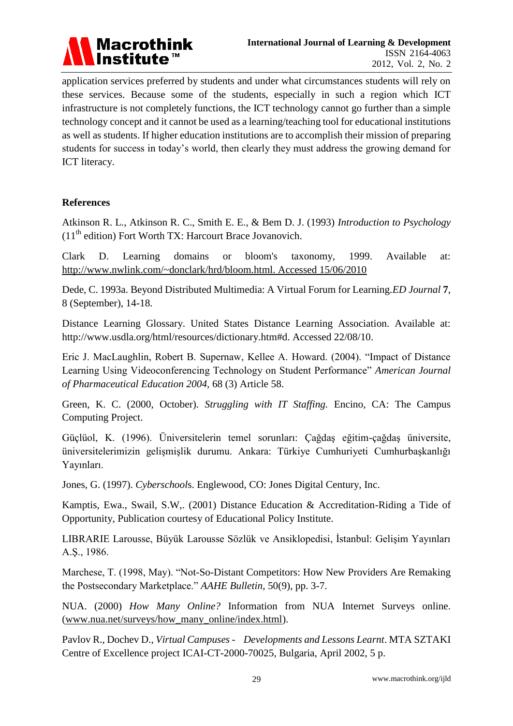

application services preferred by students and under what circumstances students will rely on these services. Because some of the students, especially in such a region which ICT infrastructure is not completely functions, the ICT technology cannot go further than a simple technology concept and it cannot be used as a learning/teaching tool for educational institutions as well as students. If higher education institutions are to accomplish their mission of preparing students for success in today's world, then clearly they must address the growing demand for ICT literacy.

#### **References**

Atkinson R. L., Atkinson R. C., Smith E. E., & Bem D. J. (1993) *Introduction to Psychology*  $(11<sup>th</sup>$  edition) Fort Worth TX: Harcourt Brace Jovanovich.

Clark D. Learning domains or bloom's taxonomy, 1999. Available at: [http://www.nwlink.com/~donclark/hrd/bloom.html. Accessed 15/06/2010](http://www.nwlink.com/~donclark/hrd/bloom.html.%20Accessed%2015/06/2010)

Dede, C. 1993a. Beyond Distributed Multimedia: A Virtual Forum for Learning.*ED Journal* **7**, 8 (September), 14-18.

Distance Learning Glossary. United States Distance Learning Association. Available at: http://www.usdla.org/html/resources/dictionary.htm#d. Accessed 22/08/10.

Eric J. MacLaughlin, Robert B. Supernaw, Kellee A. Howard. (2004). "Impact of Distance Learning Using Videoconferencing Technology on Student Performance" *American Journal of Pharmaceutical Education 2004,* 68 (3) Article 58.

Green, K. C. (2000, October). *Struggling with IT Staffing.* Encino, CA: The Campus Computing Project.

Güçlüol, K. (1996). Üniversitelerin temel sorunları: Çağdaş eğitim-çağdaş üniversite, üniversitelerimizin gelişmişlik durumu. Ankara: Türkiye Cumhuriyeti Cumhurbaşkanlığı Yayınları.

Jones, G. (1997). *Cyberschool*s. Englewood, CO: Jones Digital Century, Inc.

Kamptis, Ewa., Swail, S.W,. (2001) Distance Education & Accreditation-Riding a Tide of Opportunity, Publication courtesy of Educational Policy Institute.

LIBRARIE Larousse, Büyük Larousse Sözlük ve Ansiklopedisi, İstanbul: Gelişim Yayınları A.Ş., 1986.

Marchese, T. (1998, May). "Not-So-Distant Competitors: How New Providers Are Remaking the Postsecondary Marketplace." *AAHE Bulletin*, 50(9), pp. 3-7.

NUA. (2000) *How Many Online?* Information from NUA Internet Surveys online. [\(www.nua.net/surveys/how\\_many\\_online/index.html\)](http://www.nua.net/surveys/how_many_online/index.html).

Pavlov R., Dochev D., *Virtual Campuses - Developments and Lessons Learnt*. MTA SZTAKI Centre of Excellence project ICAI-CT-2000-70025, Bulgaria, April 2002, 5 p.